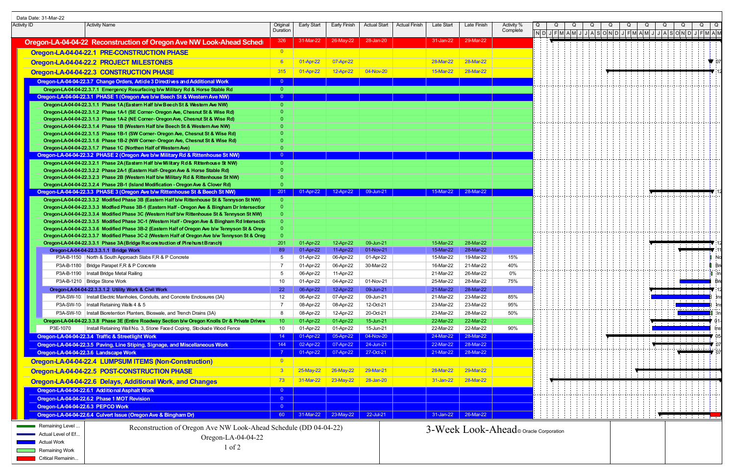| Data Date: 31-Mar-22 |                                                                                                                                                                                                                    |                         |                        |                               |                        |                                        |                        |                        |                        |  |  |  |                                   |                                     |  |
|----------------------|--------------------------------------------------------------------------------------------------------------------------------------------------------------------------------------------------------------------|-------------------------|------------------------|-------------------------------|------------------------|----------------------------------------|------------------------|------------------------|------------------------|--|--|--|-----------------------------------|-------------------------------------|--|
| <b>Activity ID</b>   | <b>Activity Name</b>                                                                                                                                                                                               | Original<br>Duration    | Early Start            | <b>Early Finish</b>           | <b>Actual Start</b>    | <b>Actual Finish</b>                   | Late Start             | Late Finish            | Activity %<br>Complete |  |  |  |                                   |                                     |  |
|                      |                                                                                                                                                                                                                    |                         |                        |                               |                        |                                        |                        |                        |                        |  |  |  | NDJFMAMJJJASONDJFMAMJJJASONDJFMAM |                                     |  |
|                      | Oregon-LA-04-04-22 Reconstruction of Oregon Ave NW Look-Ahead Sched                                                                                                                                                | 326                     | 31-Mar-22              | 26-May-22                     | 28-Jan-20              |                                        | 31-Jan-22              | 29-Mar-22              |                        |  |  |  |                                   |                                     |  |
|                      | Oregon-LA-04-04-22.1 PRE-CONSTRUCTION PHASE                                                                                                                                                                        | $\overline{\mathbf{0}}$ |                        |                               |                        |                                        |                        |                        |                        |  |  |  |                                   |                                     |  |
|                      | Oregon-LA-04-04-22.2 PROJECT MILESTONES                                                                                                                                                                            | $6^{\circ}$             | 01-Apr-22              | 07-Apr-22                     |                        |                                        | 28-Mar-22              | 28-Mar-22              |                        |  |  |  |                                   |                                     |  |
|                      | Oregon-LA-04-04-22.3 CONSTRUCTION PHASE                                                                                                                                                                            | 315                     | 01-Apr-22              | 12-Apr-22                     | 04-Nov-20              |                                        | 15-Mar-22              | 28-Mar-22              |                        |  |  |  |                                   |                                     |  |
|                      | Oregon-LA-04-04-22.3.7 Change Orders, Article 3 Directives and Additional Work                                                                                                                                     | $\overline{0}$          |                        |                               |                        |                                        |                        |                        |                        |  |  |  |                                   |                                     |  |
|                      | Oregon-LA-04-04-22.3.7.1 Emergency Resurfacing b/w Military Rd & Horse Stable Rd                                                                                                                                   | $\overline{0}$          |                        |                               |                        |                                        |                        |                        |                        |  |  |  |                                   |                                     |  |
|                      | Oregon-LA-04-04-22.3.1 PHASE 1 (Oregon Ave b/w Beech St & Western Ave NW)                                                                                                                                          | $\Omega$                |                        |                               |                        |                                        |                        |                        |                        |  |  |  |                                   |                                     |  |
|                      | Oregon-LA-04-04-22.3.1.1 Phase 1A (Eastern Half b/w Beech St & Western Ave NW)                                                                                                                                     | $\Omega$                |                        |                               |                        |                                        |                        |                        |                        |  |  |  |                                   |                                     |  |
|                      | Oregon-LA-04-04-22.3.1.2 Phase 1A-1 (SE Corner- Oregon Ave, Chesnut St & Wise Rd)                                                                                                                                  |                         |                        |                               |                        |                                        |                        |                        |                        |  |  |  |                                   |                                     |  |
|                      | Oregon-LA-04-04-22.3.1.3 Phase 1A-2 (NE Corner- Oregon Ave, Chesnut St & Wise Rd)                                                                                                                                  |                         |                        |                               |                        |                                        |                        |                        |                        |  |  |  |                                   |                                     |  |
|                      | Oregon-LA-04-04-22.3.1.4 Phase 1B (Western Half b/w Beech St & Western Ave NW)<br>Oregon-LA-04-04-22.3.1.5 Phase 1B-1 (SW Corner- Oregon Ave, Chesnut St & Wise Rd)                                                |                         |                        |                               |                        |                                        |                        |                        |                        |  |  |  |                                   |                                     |  |
|                      | Oregon-LA-04-04-22.3.1.6 Phase 1B-2 (NW Corner- Oregon Ave, Chesnut St & Wise Rd)                                                                                                                                  |                         |                        |                               |                        |                                        |                        |                        |                        |  |  |  |                                   |                                     |  |
|                      | Oregon-LA-04-04-22.3.1.7 Phase 1C (Northen Half of Western Ave)                                                                                                                                                    | $\Omega$                |                        |                               |                        |                                        |                        |                        |                        |  |  |  |                                   |                                     |  |
|                      | Oregon-LA-04-04-22.3.2 PHASE 2 (Oregon Ave b/w Military Rd & Rittenhouse St NW)                                                                                                                                    |                         |                        |                               |                        |                                        |                        |                        |                        |  |  |  |                                   |                                     |  |
|                      | Oregon-LA-04-04-22.3.2.1 Phase 2A (Eastern Half b/w Military Rd & Ritterhouse St NW)                                                                                                                               | $\overline{0}$          |                        |                               |                        |                                        |                        |                        |                        |  |  |  |                                   |                                     |  |
|                      | Oregon-LA-04-04-22.3.2.2 Phase 2A-1 (Eastern Half- Oregon Ave & Horse Stable Rd)                                                                                                                                   |                         |                        |                               |                        |                                        |                        |                        |                        |  |  |  |                                   |                                     |  |
|                      | Oregon-LA-04-04-22.3.2.3 Phase 2B (Western Half b/w Military Rd & Rittenhouse St NW)                                                                                                                               | $\Omega$                |                        |                               |                        |                                        |                        |                        |                        |  |  |  |                                   |                                     |  |
|                      | Oregon-LA-04-04-22.3.2.4 Phase 2B-1 (Island Modification - Oregon Ave & Clover Rd)<br>Oregon-LA-04-04-22.3.3 PHASE 3 (Oregon Ave b/w Rittenhouse St & Beech St NW)                                                 | $\Omega$<br>201         |                        | 01-Apr-22 12-Apr-22 09-Jun-21 |                        |                                        |                        | 15-Mar-22 28-Mar-22    |                        |  |  |  |                                   |                                     |  |
|                      | Oregon-LA-04-04-22.3.3.2 Modified Phase 3B (Eastern Half b/w Rittenhouse St & Tennyson St NW)                                                                                                                      | $\overline{0}$          |                        |                               |                        |                                        |                        |                        |                        |  |  |  |                                   |                                     |  |
|                      | Oregon-LA-04-04-22.3.3.3 Modfied Phase 3B-1 (Eastern Half - Oregon Ave & Bingham Dr Intersectior                                                                                                                   | $\overline{0}$          |                        |                               |                        |                                        |                        |                        |                        |  |  |  |                                   |                                     |  |
|                      | Oregon-LA-04-04-22.3.3.4 Modified Phase 3C (Western Half b/w Rittenhouse St & Tennyson St NW)                                                                                                                      | $\Omega$                |                        |                               |                        |                                        |                        |                        |                        |  |  |  |                                   |                                     |  |
|                      | Oregon-LA-04-04-22.3.3.5 Modified Phase 3C-1 (Western Half - Oregon Ave & Bingham Rd Intersection                                                                                                                  | $\Omega$                |                        |                               |                        |                                        |                        |                        |                        |  |  |  |                                   |                                     |  |
|                      | Oregon-LA-04-04-22.3.3.6 Modified Phase 3B-2 (Eastern Half of Oregon Ave b/w Tennyson St & Oregon                                                                                                                  | $\Omega$                |                        |                               |                        |                                        |                        |                        |                        |  |  |  |                                   |                                     |  |
|                      | Oregon-LA-04-04-22.3.3.7 Modified Phase 3C-2 (Western Half of Oregon Ave b/w Tennyson St & Oreg                                                                                                                    | $\overline{0}$          |                        |                               |                        |                                        |                        |                        |                        |  |  |  |                                   |                                     |  |
|                      | Oregon-LA-04-04-22.3.3.1 Phase 3A (Bridge Reconstruction of Pine hurst Branch)<br>Oregon-LA-04-04-22.3.3.1.1 Bridge Work                                                                                           | <b>201</b><br>89        | 01-Apr-22<br>01-Apr-22 | 12-Apr-22<br>11-Apr-22        | 09-Jun-21<br>01-Nov-21 |                                        | 15-Mar-22<br>15-Mar-22 | 28-Mar-22<br>28-Mar-22 |                        |  |  |  |                                   |                                     |  |
|                      | P3A-B-1150   North & South Approach Slabs F,R & P Concrete                                                                                                                                                         | -5                      | 01-Apr-22              | 06-Apr-22                     | 01-Apr-22              |                                        | 15-Mar-22              | 19-Mar-22              | 15%                    |  |  |  |                                   |                                     |  |
|                      | P3A-B-1180   Bridge Parapet F,R & P Concrete                                                                                                                                                                       | -7                      | 01-Apr-22              | 06-Apr-22                     | 30-Mar-22              |                                        | 16-Mar-22              | 21-Mar-22              | 40%                    |  |  |  |                                   |                                     |  |
|                      | P3A-B-1190   Install Bridge Metal Railing                                                                                                                                                                          | 5                       | 06-Apr-22              | 11-Apr-22                     |                        |                                        | 21-Mar-22              | 26-Mar-22              | 0%                     |  |  |  |                                   |                                     |  |
|                      | P3A-B-1210   Bridge Stone Work                                                                                                                                                                                     | 10                      | 01-Apr-22              | 04-Apr-22                     | 01-Nov-21              |                                        | 25-Mar-22              | 28-Mar-22              | 75%                    |  |  |  |                                   |                                     |  |
|                      | Oregon-LA-04-04-22.3.3.1.2 Utility Work & Civil Work                                                                                                                                                               | <b>22</b>               | 06-Apr-22              | 12-Apr-22                     | 09-Jun-21              |                                        | 21-Mar-22              | 28-Mar-22              |                        |  |  |  |                                   | and the contract of the contract of |  |
|                      | P3A-SW-10   Install Electric Manholes, Conduits, and Concrete Enclosures (3A)                                                                                                                                      | 12                      | 06-Apr-22              | 07-Apr-22                     | 09-Jun-21              |                                        | 21-Mar-22              | 23-Mar-22              | 85%                    |  |  |  |                                   |                                     |  |
|                      | P3A-SW-10   Install Retaining Walls 4 & 5                                                                                                                                                                          | -7                      | 08-Apr-22              | 08-Apr-22                     | 12-Oct-21              |                                        | 23-Mar-22              | 23-Mar-22              | 95%                    |  |  |  |                                   |                                     |  |
|                      | P3A-SW-10   Install Bioretention Planters, Bioswale, and Trench Drains (3A)                                                                                                                                        | -8                      | 08-Apr-22              | 12-Apr-22                     | 20-Oct-21              |                                        | 23-Mar-22              | 28-Mar-22              | 50%                    |  |  |  |                                   |                                     |  |
|                      | Oregon-LA-04-04-22.3.3.8 Phase 3E (Entire Roadway Section b/w Oregon Knolls Dr & Private Drivew                                                                                                                    | 10 <sup>°</sup>         | 01-Apr-22              | 01-Apr-22                     | 15-Jun-21              |                                        | 22-Mar-22              | 22-Mar-22              |                        |  |  |  |                                   | Maria de Antoine                    |  |
|                      | P3E-1070<br>Install Retaining Wall No. 3, Stone Faced Coping, Stockade Wood Fence                                                                                                                                  | 10<br>14                | 01-Apr-22              | 01-Apr-22<br>05-Apr-22        | 15-Jun-21<br>04-Nov-20 |                                        | 22-Mar-22<br>24-Mar-22 | 22-Mar-22<br>28-Mar-22 | 90%                    |  |  |  |                                   |                                     |  |
|                      | Oregon-LA-04-04-22.3.4 Traffic & Streetlight Work<br>Oregon-LA-04-04-22.3.5 Paving, Line Stiping, Signage, and Miscellaneous Work                                                                                  | 144                     | 01-Apr-22<br>02-Apr-22 | 07-Apr-22                     | 24-Jun-21              |                                        | 22-Mar-22              | 28-Mar-22              |                        |  |  |  |                                   |                                     |  |
|                      | Oregon-LA-04-04-22.3.6 Landscape Work                                                                                                                                                                              |                         | $01-Apr-22$            | 07-Apr-22                     | 27-Oct-21              |                                        | 21-Mar-22 28-Mar-22    |                        |                        |  |  |  |                                   |                                     |  |
|                      | Oregon-LA-04-04-22.4 LUMPSUM ITEMS (Non-Construction)                                                                                                                                                              | $\overline{\mathbf{0}}$ |                        |                               |                        |                                        |                        |                        |                        |  |  |  |                                   |                                     |  |
|                      |                                                                                                                                                                                                                    |                         |                        |                               | 29-Mar-21              |                                        | 28-Mar-22              | 29-Mar-22              |                        |  |  |  |                                   |                                     |  |
|                      | Oregon-LA-04-04-22.5 POST-CONSTRUCTION PHASE                                                                                                                                                                       | 3 <sup>°</sup>          | $25$ -May-22           | 26-May-22                     |                        |                                        |                        |                        |                        |  |  |  |                                   |                                     |  |
|                      | Oregon-LA-04-04-22.6 Delays, Additional Work, and Changes                                                                                                                                                          | 73                      | 31-Mar-22              | 23-May-22                     | 28-Jan-20              |                                        | 31-Jan-22              | 28-Mar-22              |                        |  |  |  |                                   |                                     |  |
|                      | Oregon-LA-04-04-22.6.1 Additional Asphalt Work                                                                                                                                                                     | $\overline{0}$          |                        |                               |                        |                                        |                        |                        |                        |  |  |  |                                   |                                     |  |
|                      | Oregon-LA-04-04-22.6.2 Phase 1 MOT Revision                                                                                                                                                                        | $\overline{0}$          |                        |                               |                        |                                        |                        |                        |                        |  |  |  |                                   |                                     |  |
|                      | Oregon-LA-04-04-22.6.3 PEPCO Work                                                                                                                                                                                  | $\bullet$               |                        |                               |                        |                                        |                        |                        |                        |  |  |  |                                   |                                     |  |
|                      | Oregon-LA-04-04-22.6.4 Culvert Issue (Oregon Ave & Bingham Dr)                                                                                                                                                     | 60                      |                        | 31-Mar-22 23-May-22           | $22$ -Jul-21           |                                        | $31$ -Jan-22 $ $       | 26-Mar-22              |                        |  |  |  |                                   | .                                   |  |
|                      | Remaining Level<br>Reconstruction of Oregon Ave NW Look-Ahead Schedule (DD 04-04-22)<br>Actual Level of Ef<br>Oregon-LA-04-04-22<br><b>Actual Work</b><br>$1$ of $2$<br><b>Remaining Work</b><br>Critical Remainin |                         |                        |                               |                        | 3-Week Look-Ahead o Oracle Corporation |                        |                        |                        |  |  |  |                                   |                                     |  |